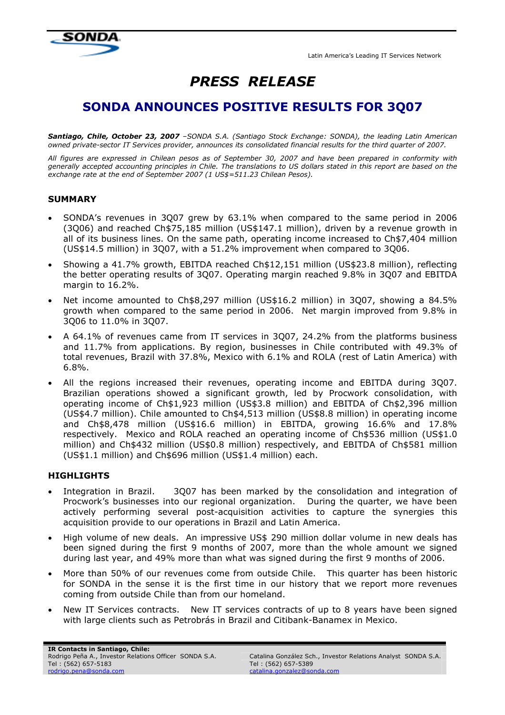Latin America's Leading IT Services Network



# PRESS RELEASE

## SONDA ANNOUNCES POSITIVE RESULTS FOR 3Q07

Santiago, Chile, October 23, 2007 -SONDA S.A. (Santiago Stock Exchange: SONDA), the leading Latin American owned private-sector IT Services provider, announces its consolidated financial results for the third quarter of 2007.

All figures are expressed in Chilean pesos as of September 30, 2007 and have been prepared in conformity with generally accepted accounting principles in Chile. The translations to US dollars stated in this report are based on the exchange rate at the end of September 2007 (1 US\$=511.23 Chilean Pesos).

## **SUMMARY**

- SONDA's revenues in 3Q07 grew by 63.1% when compared to the same period in 2006 (3Q06) and reached Ch\$75,185 million (US\$147.1 million), driven by a revenue growth in all of its business lines. On the same path, operating income increased to Ch\$7,404 million (US\$14.5 million) in 3Q07, with a 51.2% improvement when compared to 3Q06.
- Showing a 41.7% growth, EBITDA reached Ch\$12,151 million (US\$23.8 million), reflecting the better operating results of 3Q07. Operating margin reached 9.8% in 3Q07 and EBITDA margin to 16.2%.
- Net income amounted to Ch\$8,297 million (US\$16.2 million) in 3Q07, showing a 84.5% growth when compared to the same period in 2006. Net margin improved from 9.8% in 3Q06 to 11.0% in 3Q07.
- A 64.1% of revenues came from IT services in 3Q07, 24.2% from the platforms business and 11.7% from applications. By region, businesses in Chile contributed with 49.3% of total revenues, Brazil with 37.8%, Mexico with 6.1% and ROLA (rest of Latin America) with 6.8%.
- All the regions increased their revenues, operating income and EBITDA during 3Q07. Brazilian operations showed a significant growth, led by Procwork consolidation, with operating income of Ch\$1,923 million (US\$3.8 million) and EBITDA of Ch\$2,396 million (US\$4.7 million). Chile amounted to Ch\$4,513 million (US\$8.8 million) in operating income and Ch\$8,478 million (US\$16.6 million) in EBITDA, growing 16.6% and 17.8% respectively. Mexico and ROLA reached an operating income of Ch\$536 million (US\$1.0 million) and Ch\$432 million (US\$0.8 million) respectively, and EBITDA of Ch\$581 million (US\$1.1 million) and Ch\$696 million (US\$1.4 million) each.

#### **HIGHLIGHTS**

- Integration in Brazil. 3Q07 has been marked by the consolidation and integration of Procwork's businesses into our regional organization. During the quarter, we have been actively performing several post-acquisition activities to capture the synergies this acquisition provide to our operations in Brazil and Latin America.
- High volume of new deals. An impressive US\$ 290 million dollar volume in new deals has been signed during the first 9 months of 2007, more than the whole amount we signed during last year, and 49% more than what was signed during the first 9 months of 2006.
- More than 50% of our revenues come from outside Chile. This quarter has been historic for SONDA in the sense it is the first time in our history that we report more revenues coming from outside Chile than from our homeland.
- New IT Services contracts. New IT services contracts of up to 8 years have been signed with large clients such as Petrobrás in Brazil and Citibank-Banamex in Mexico.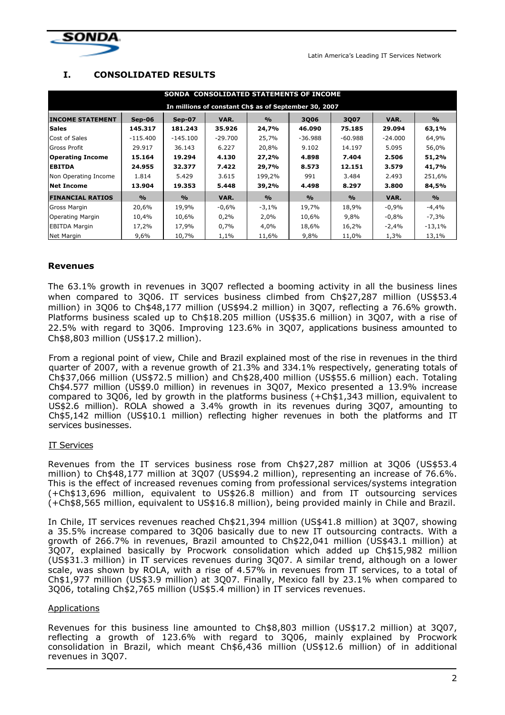

Latin America's Leading IT Services Network

## I. CONSOLIDATED RESULTS

| SONDA CONSOLIDATED STATEMENTS OF INCOME               |               |                    |           |                    |                    |               |           |               |
|-------------------------------------------------------|---------------|--------------------|-----------|--------------------|--------------------|---------------|-----------|---------------|
| In millions of constant Ch\$ as of September 30, 2007 |               |                    |           |                    |                    |               |           |               |
| <b>INCOME STATEMENT</b>                               | $Sep-06$      | <b>Sep-07</b>      | VAR.      | $\frac{0}{\alpha}$ | 3006               | 3007          | VAR.      | $\frac{0}{0}$ |
| <b>Sales</b>                                          | 145.317       | 181.243            | 35.926    | 24,7%              | 46.090             | 75.185        | 29.094    | 63,1%         |
| Cost of Sales                                         | $-115.400$    | -145.100           | $-29.700$ | 25,7%              | $-36.988$          | $-60.988$     | $-24.000$ | 64,9%         |
| <b>Gross Profit</b>                                   | 29.917        | 36.143             | 6.227     | 20,8%              | 9.102              | 14.197        | 5.095     | 56,0%         |
| <b>Operating Income</b>                               | 15.164        | 19.294             | 4.130     | 27,2%              | 4.898              | 7.404         | 2.506     | 51,2%         |
| <b>EBITDA</b>                                         | 24.955        | 32.377             | 7.422     | 29,7%              | 8.573              | 12.151        | 3.579     | 41,7%         |
| Non Operating Income                                  | 1.814         | 5.429              | 3.615     | 199,2%             | 991                | 3.484         | 2.493     | 251,6%        |
| <b>Net Income</b>                                     | 13.904        | 19.353             | 5.448     | 39,2%              | 4.498              | 8.297         | 3.800     | 84,5%         |
| <b>FINANCIAL RATIOS</b>                               | $\frac{O}{O}$ | $\frac{0}{\alpha}$ | VAR.      | $\frac{O}{O}$      | $\frac{0}{\alpha}$ | $\frac{0}{0}$ | VAR.      | $\frac{0}{0}$ |
| Gross Margin                                          | 20,6%         | 19,9%              | $-0.6%$   | $-3,1%$            | 19,7%              | 18,9%         | $-0.9%$   | $-4,4%$       |
| <b>Operating Margin</b>                               | 10,4%         | 10,6%              | 0,2%      | 2,0%               | 10,6%              | 9,8%          | $-0,8%$   | $-7,3%$       |
| <b>EBITDA Margin</b>                                  | 17,2%         | 17,9%              | 0,7%      | 4,0%               | 18,6%              | 16,2%         | -2,4%     | $-13,1%$      |
| Net Margin                                            | 9,6%          | 10,7%              | 1,1%      | 11,6%              | 9,8%               | 11,0%         | 1,3%      | 13,1%         |

## Revenues

The 63.1% growth in revenues in 3Q07 reflected a booming activity in all the business lines when compared to 3Q06. IT services business climbed from Ch\$27,287 million (US\$53.4 million) in 3Q06 to Ch\$48,177 million (US\$94.2 million) in 3Q07, reflecting a 76.6% growth. Platforms business scaled up to Ch\$18.205 million (US\$35.6 million) in 3Q07, with a rise of 22.5% with regard to 3Q06. Improving 123.6% in 3Q07, applications business amounted to Ch\$8,803 million (US\$17.2 million).

From a regional point of view, Chile and Brazil explained most of the rise in revenues in the third quarter of 2007, with a revenue growth of 21.3% and 334.1% respectively, generating totals of Ch\$37,066 million (US\$72.5 million) and Ch\$28,400 million (US\$55.6 million) each. Totaling Ch\$4.577 million (US\$9.0 million) in revenues in 3Q07, Mexico presented a 13.9% increase compared to 3Q06, led by growth in the platforms business (+Ch\$1,343 million, equivalent to US\$2.6 million). ROLA showed a 3.4% growth in its revenues during 3Q07, amounting to Ch\$5,142 million (US\$10.1 million) reflecting higher revenues in both the platforms and IT services businesses.

#### IT Services

Revenues from the IT services business rose from Ch\$27,287 million at 3Q06 (US\$53.4 million) to Ch\$48,177 million at 3Q07 (US\$94.2 million), representing an increase of 76.6%. This is the effect of increased revenues coming from professional services/systems integration (+Ch\$13,696 million, equivalent to US\$26.8 million) and from IT outsourcing services (+Ch\$8,565 million, equivalent to US\$16.8 million), being provided mainly in Chile and Brazil.

In Chile, IT services revenues reached Ch\$21,394 million (US\$41.8 million) at 3Q07, showing a 35.5% increase compared to 3Q06 basically due to new IT outsourcing contracts. With a growth of 266.7% in revenues, Brazil amounted to Ch\$22,041 million (US\$43.1 million) at 3Q07, explained basically by Procwork consolidation which added up Ch\$15,982 million (US\$31.3 million) in IT services revenues during 3Q07. A similar trend, although on a lower scale, was shown by ROLA, with a rise of 4.57% in revenues from IT services, to a total of Ch\$1,977 million (US\$3.9 million) at 3Q07. Finally, Mexico fall by 23.1% when compared to 3Q06, totaling Ch\$2,765 million (US\$5.4 million) in IT services revenues.

#### Applications

Revenues for this business line amounted to Ch\$8,803 million (US\$17.2 million) at 3Q07, reflecting a growth of 123.6% with regard to 3Q06, mainly explained by Procwork consolidation in Brazil, which meant Ch\$6,436 million (US\$12.6 million) of in additional revenues in 3Q07.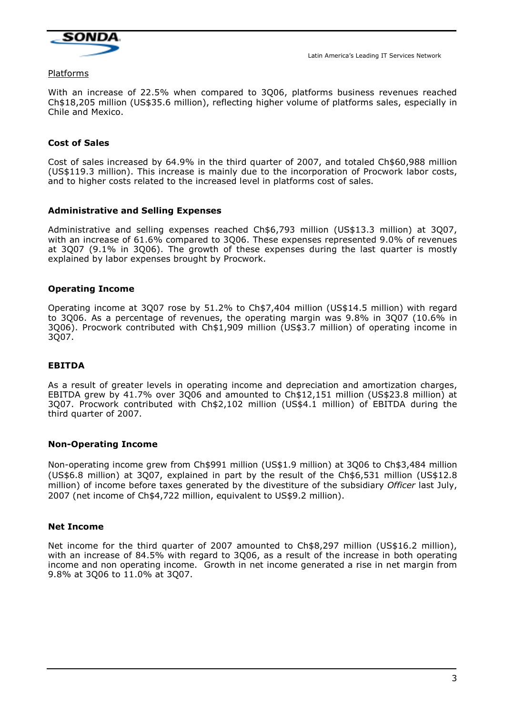

Platforms

With an increase of 22.5% when compared to 3Q06, platforms business revenues reached Ch\$18,205 million (US\$35.6 million), reflecting higher volume of platforms sales, especially in Chile and Mexico.

## Cost of Sales

Cost of sales increased by 64.9% in the third quarter of 2007, and totaled Ch\$60,988 million (US\$119.3 million). This increase is mainly due to the incorporation of Procwork labor costs, and to higher costs related to the increased level in platforms cost of sales.

## Administrative and Selling Expenses

Administrative and selling expenses reached Ch\$6,793 million (US\$13.3 million) at 3Q07, with an increase of 61.6% compared to 3Q06. These expenses represented 9.0% of revenues at 3Q07 (9.1% in 3Q06). The growth of these expenses during the last quarter is mostly explained by labor expenses brought by Procwork.

## Operating Income

Operating income at 3Q07 rose by 51.2% to Ch\$7,404 million (US\$14.5 million) with regard to 3Q06. As a percentage of revenues, the operating margin was 9.8% in 3Q07 (10.6% in 3Q06). Procwork contributed with Ch\$1,909 million (US\$3.7 million) of operating income in 3Q07.

#### EBITDA

As a result of greater levels in operating income and depreciation and amortization charges, EBITDA grew by 41.7% over 3Q06 and amounted to Ch\$12,151 million (US\$23.8 million) at 3Q07. Procwork contributed with Ch\$2,102 million (US\$4.1 million) of EBITDA during the third quarter of 2007.

#### Non-Operating Income

Non-operating income grew from Ch\$991 million (US\$1.9 million) at 3Q06 to Ch\$3,484 million (US\$6.8 million) at 3Q07, explained in part by the result of the Ch\$6,531 million (US\$12.8 million) of income before taxes generated by the divestiture of the subsidiary Officer last July, 2007 (net income of Ch\$4,722 million, equivalent to US\$9.2 million).

#### Net Income

Net income for the third quarter of 2007 amounted to Ch\$8,297 million (US\$16.2 million), with an increase of 84.5% with regard to 3Q06, as a result of the increase in both operating income and non operating income. Growth in net income generated a rise in net margin from 9.8% at 3Q06 to 11.0% at 3Q07.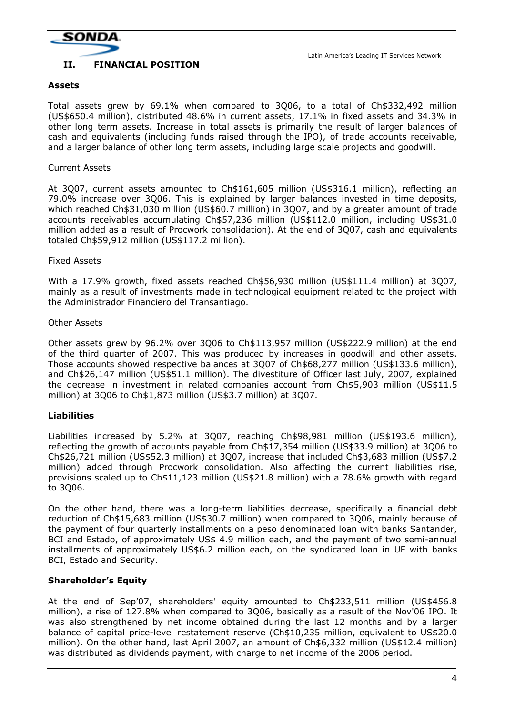

## II. FINANCIAL POSITION

#### Assets

Total assets grew by 69.1% when compared to 3Q06, to a total of Ch\$332,492 million (US\$650.4 million), distributed 48.6% in current assets, 17.1% in fixed assets and 34.3% in other long term assets. Increase in total assets is primarily the result of larger balances of cash and equivalents (including funds raised through the IPO), of trade accounts receivable, and a larger balance of other long term assets, including large scale projects and goodwill.

#### Current Assets

At 3Q07, current assets amounted to Ch\$161,605 million (US\$316.1 million), reflecting an 79.0% increase over 3Q06. This is explained by larger balances invested in time deposits, which reached Ch\$31,030 million (US\$60.7 million) in 3Q07, and by a greater amount of trade accounts receivables accumulating Ch\$57,236 million (US\$112.0 million, including US\$31.0 million added as a result of Procwork consolidation). At the end of 3Q07, cash and equivalents totaled Ch\$59,912 million (US\$117.2 million).

#### Fixed Assets

With a 17.9% growth, fixed assets reached Ch\$56,930 million (US\$111.4 million) at 3Q07, mainly as a result of investments made in technological equipment related to the project with the Administrador Financiero del Transantiago.

#### Other Assets

Other assets grew by 96.2% over 3Q06 to Ch\$113,957 million (US\$222.9 million) at the end of the third quarter of 2007. This was produced by increases in goodwill and other assets. Those accounts showed respective balances at 3Q07 of Ch\$68,277 million (US\$133.6 million), and Ch\$26,147 million (US\$51.1 million). The divestiture of Officer last July, 2007, explained the decrease in investment in related companies account from Ch\$5,903 million (US\$11.5 million) at 3Q06 to Ch\$1,873 million (US\$3.7 million) at 3Q07.

#### Liabilities

Liabilities increased by 5.2% at 3Q07, reaching Ch\$98,981 million (US\$193.6 million), reflecting the growth of accounts payable from Ch\$17,354 million (US\$33.9 million) at 3Q06 to Ch\$26,721 million (US\$52.3 million) at 3Q07, increase that included Ch\$3,683 million (US\$7.2 million) added through Procwork consolidation. Also affecting the current liabilities rise, provisions scaled up to Ch\$11,123 million (US\$21.8 million) with a 78.6% growth with regard to 3Q06.

On the other hand, there was a long-term liabilities decrease, specifically a financial debt reduction of Ch\$15,683 million (US\$30.7 million) when compared to 3Q06, mainly because of the payment of four quarterly installments on a peso denominated loan with banks Santander, BCI and Estado, of approximately US\$ 4.9 million each, and the payment of two semi-annual installments of approximately US\$6.2 million each, on the syndicated loan in UF with banks BCI, Estado and Security.

#### Shareholder's Equity

At the end of Sep'07, shareholders' equity amounted to Ch\$233,511 million (US\$456.8 million), a rise of 127.8% when compared to 3Q06, basically as a result of the Nov'06 IPO. It was also strengthened by net income obtained during the last 12 months and by a larger balance of capital price-level restatement reserve (Ch\$10,235 million, equivalent to US\$20.0 million). On the other hand, last April 2007, an amount of Ch\$6,332 million (US\$12.4 million) was distributed as dividends payment, with charge to net income of the 2006 period.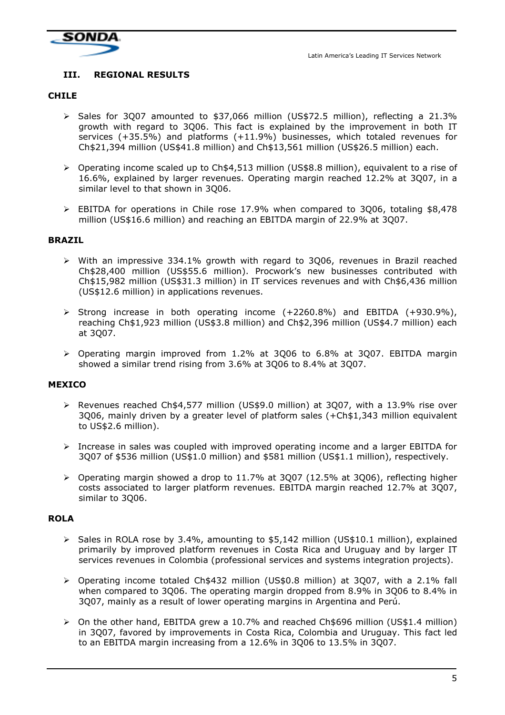

## III. REGIONAL RESULTS

#### CHILE

- $\triangleright$  Sales for 3007 amounted to \$37,066 million (US\$72.5 million), reflecting a 21.3% growth with regard to 3Q06. This fact is explained by the improvement in both IT services (+35.5%) and platforms (+11.9%) businesses, which totaled revenues for Ch\$21,394 million (US\$41.8 million) and Ch\$13,561 million (US\$26.5 million) each.
- Operating income scaled up to Ch\$4,513 million (US\$8.8 million), equivalent to a rise of 16.6%, explained by larger revenues. Operating margin reached 12.2% at 3Q07, in a similar level to that shown in 3Q06.
- EBITDA for operations in Chile rose 17.9% when compared to 3Q06, totaling \$8,478 million (US\$16.6 million) and reaching an EBITDA margin of 22.9% at 3Q07.

#### BRAZIL

- With an impressive 334.1% growth with regard to 3Q06, revenues in Brazil reached Ch\$28,400 million (US\$55.6 million). Procwork's new businesses contributed with Ch\$15,982 million (US\$31.3 million) in IT services revenues and with Ch\$6,436 million (US\$12.6 million) in applications revenues.
- $\triangleright$  Strong increase in both operating income (+2260.8%) and EBITDA (+930.9%), reaching Ch\$1,923 million (US\$3.8 million) and Ch\$2,396 million (US\$4.7 million) each at 3Q07.
- $\geq$  Operating margin improved from 1.2% at 3006 to 6.8% at 3007. EBITDA margin showed a similar trend rising from 3.6% at 3Q06 to 8.4% at 3Q07.

#### MEXICO

- $\triangleright$  Revenues reached Ch\$4,577 million (US\$9.0 million) at 3007, with a 13.9% rise over 3Q06, mainly driven by a greater level of platform sales (+Ch\$1,343 million equivalent to US\$2.6 million).
- $\geq$  Increase in sales was coupled with improved operating income and a larger EBITDA for 3Q07 of \$536 million (US\$1.0 million) and \$581 million (US\$1.1 million), respectively.
- $\triangleright$  Operating margin showed a drop to 11.7% at 3Q07 (12.5% at 3Q06), reflecting higher costs associated to larger platform revenues. EBITDA margin reached 12.7% at 3Q07, similar to 3Q06.

#### ROLA

- > Sales in ROLA rose by 3.4%, amounting to \$5,142 million (US\$10.1 million), explained primarily by improved platform revenues in Costa Rica and Uruguay and by larger IT services revenues in Colombia (professional services and systems integration projects).
- Operating income totaled Ch\$432 million (US\$0.8 million) at 3Q07, with a 2.1% fall when compared to 3Q06. The operating margin dropped from 8.9% in 3Q06 to 8.4% in 3Q07, mainly as a result of lower operating margins in Argentina and Perú.
- $\triangleright$  On the other hand, EBITDA grew a 10.7% and reached Ch\$696 million (US\$1.4 million) in 3Q07, favored by improvements in Costa Rica, Colombia and Uruguay. This fact led to an EBITDA margin increasing from a 12.6% in 3Q06 to 13.5% in 3Q07.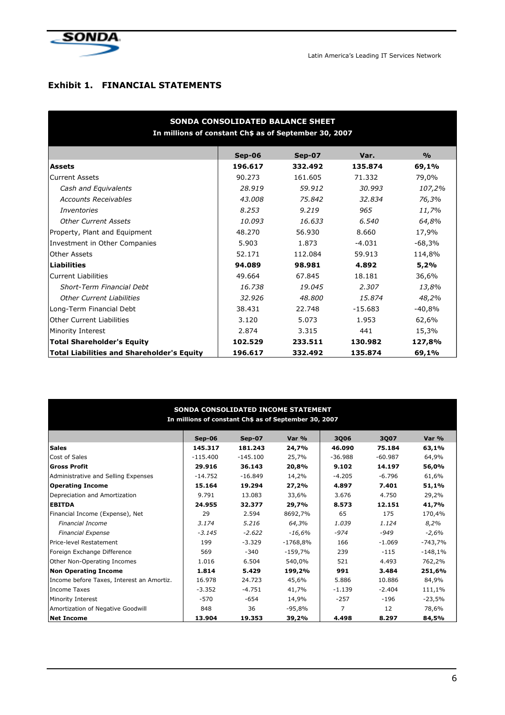

## Exhibit 1. FINANCIAL STATEMENTS

| SONDA CONSOLIDATED BALANCE SHEET<br>In millions of constant Ch\$ as of September 30, 2007 |          |         |           |               |  |  |  |  |
|-------------------------------------------------------------------------------------------|----------|---------|-----------|---------------|--|--|--|--|
|                                                                                           | $Sep-06$ | Sep-07  | Var.      | $\frac{9}{0}$ |  |  |  |  |
| <b>Assets</b>                                                                             | 196.617  | 332.492 | 135.874   | 69,1%         |  |  |  |  |
| <b>Current Assets</b>                                                                     | 90.273   | 161.605 | 71.332    | 79,0%         |  |  |  |  |
| Cash and Equivalents                                                                      | 28.919   | 59.912  | 30.993    | 107,2%        |  |  |  |  |
| <b>Accounts Receivables</b>                                                               | 43.008   | 75.842  | 32.834    | 76,3%         |  |  |  |  |
| <i>Inventories</i>                                                                        | 8.253    | 9.219   | 965       | 11,7%         |  |  |  |  |
| <b>Other Current Assets</b>                                                               | 10.093   | 16.633  | 6.540     | 64,8%         |  |  |  |  |
| Property, Plant and Equipment                                                             | 48.270   | 56.930  | 8.660     | 17,9%         |  |  |  |  |
| Investment in Other Companies                                                             | 5.903    | 1.873   | $-4.031$  | $-68,3%$      |  |  |  |  |
| Other Assets                                                                              | 52.171   | 112.084 | 59.913    | 114,8%        |  |  |  |  |
| <b>Liabilities</b>                                                                        | 94.089   | 98.981  | 4.892     | 5,2%          |  |  |  |  |
| <b>Current Liabilities</b>                                                                | 49.664   | 67.845  | 18.181    | 36,6%         |  |  |  |  |
| <b>Short-Term Financial Debt</b>                                                          | 16.738   | 19.045  | 2.307     | 13,8%         |  |  |  |  |
| <b>Other Current Liabilities</b>                                                          | 32.926   | 48.800  | 15.874    | 48,2%         |  |  |  |  |
| Long-Term Financial Debt                                                                  | 38.431   | 22.748  | $-15.683$ | $-40,8%$      |  |  |  |  |
| <b>Other Current Liabilities</b>                                                          | 3.120    | 5.073   | 1.953     | 62,6%         |  |  |  |  |
| Minority Interest                                                                         | 2.874    | 3.315   | 441       | 15,3%         |  |  |  |  |
| <b>Total Shareholder's Equity</b>                                                         | 102.529  | 233.511 | 130.982   | 127,8%        |  |  |  |  |
| <b>Total Liabilities and Shareholder's Equity</b>                                         | 196.617  | 332.492 | 135.874   | 69,1%         |  |  |  |  |

#### SONDA CONSOLIDATED INCOME STATEMENT In millions of constant Ch\$ as of September 30, 2007

|                                           | $Sep-06$   | Sep-07     | Var %      | <b>3Q06</b> | 3Q07      | Var %     |
|-------------------------------------------|------------|------------|------------|-------------|-----------|-----------|
| <b>Sales</b>                              | 145.317    | 181.243    | 24,7%      | 46.090      | 75.184    | 63,1%     |
| Cost of Sales                             | $-115.400$ | $-145.100$ | 25,7%      | $-36.988$   | $-60.987$ | 64,9%     |
| Gross Profit                              | 29.916     | 36.143     | 20,8%      | 9.102       | 14.197    | 56,0%     |
| Administrative and Selling Expenses       | $-14.752$  | $-16.849$  | 14,2%      | $-4.205$    | $-6.796$  | 61,6%     |
| Operating Income                          | 15.164     | 19.294     | 27,2%      | 4.897       | 7.401     | 51,1%     |
| Depreciation and Amortization             | 9.791      | 13.083     | 33,6%      | 3.676       | 4.750     | 29,2%     |
| <b>EBITDA</b>                             | 24.955     | 32.377     | 29,7%      | 8.573       | 12.151    | 41,7%     |
| Financial Income (Expense), Net           | 29         | 2.594      | 8692,7%    | 65          | 175       | 170,4%    |
| <b>Financial Income</b>                   | 3.174      | 5.216      | 64,3%      | 1.039       | 1.124     | 8,2%      |
| <b>Financial Expense</b>                  | $-3.145$   | $-2.622$   | $-16,6%$   | -974        | -949      | $-2,6%$   |
| Price-level Restatement                   | 199        | $-3.329$   | $-1768.8%$ | 166         | $-1.069$  | -743,7%   |
| Foreign Exchange Difference               | 569        | $-340$     | $-159,7%$  | 239         | $-115$    | $-148,1%$ |
| Other Non-Operating Incomes               | 1.016      | 6.504      | 540,0%     | 521         | 4.493     | 762,2%    |
| Non Operating Income                      | 1.814      | 5.429      | 199,2%     | 991         | 3.484     | 251,6%    |
| Income before Taxes, Interest an Amortiz. | 16.978     | 24.723     | 45,6%      | 5.886       | 10.886    | 84,9%     |
| <b>Income Taxes</b>                       | $-3.352$   | $-4.751$   | 41,7%      | $-1.139$    | $-2.404$  | 111,1%    |
| Minority Interest                         | $-570$     | $-654$     | 14,9%      | $-257$      | -196      | -23,5%    |
| Amortization of Negative Goodwill         | 848        | 36         | $-95,8%$   | 7           | 12        | 78,6%     |
| <b>Net Income</b>                         | 13.904     | 19.353     | 39,2%      | 4.498       | 8.297     | 84,5%     |